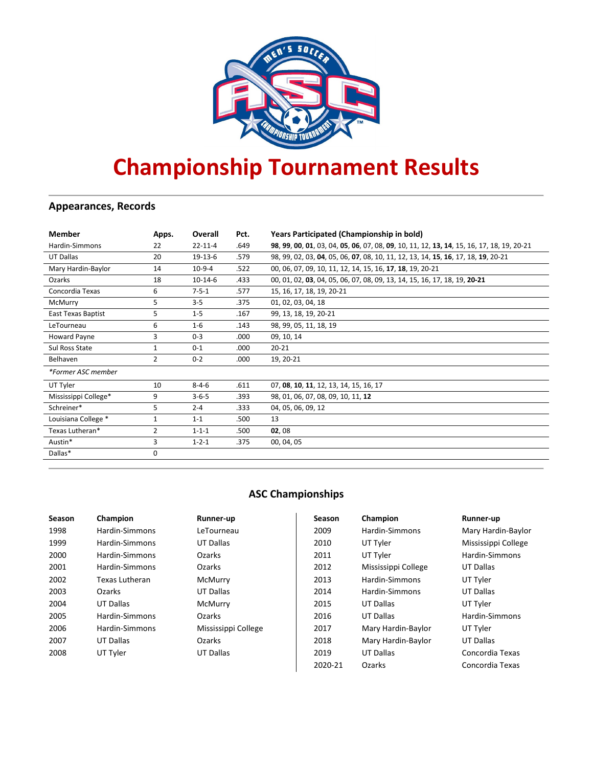

# **Championship Tournament Results**

# **Appearances, Records**

| <b>Member</b>        | Apps.          | Overall       | Pct.  | Years Participated (Championship in bold)                                                 |
|----------------------|----------------|---------------|-------|-------------------------------------------------------------------------------------------|
| Hardin-Simmons       | 22             | $22 - 11 - 4$ | .649  | 98, 99, 00, 01, 03, 04, 05, 06, 07, 08, 09, 10, 11, 12, 13, 14, 15, 16, 17, 18, 19, 20-21 |
| UT Dallas            | 20             | 19-13-6       | .579  | 98, 99, 02, 03, 04, 05, 06, 07, 08, 10, 11, 12, 13, 14, 15, 16, 17, 18, 19, 20-21         |
| Mary Hardin-Baylor   | 14             | $10-9-4$      | .522  | 00, 06, 07, 09, 10, 11, 12, 14, 15, 16, 17, 18, 19, 20-21                                 |
| Ozarks               | 18             | $10-14-6$     | .433  | 00, 01, 02, 03, 04, 05, 06, 07, 08, 09, 13, 14, 15, 16, 17, 18, 19, 20-21                 |
| Concordia Texas      | 6              | $7 - 5 - 1$   | .577  | 15, 16, 17, 18, 19, 20-21                                                                 |
| McMurry              | 5              | $3 - 5$       | .375  | 01, 02, 03, 04, 18                                                                        |
| East Texas Baptist   | 5              | $1 - 5$       | .167  | 99, 13, 18, 19, 20-21                                                                     |
| LeTourneau           | 6              | $1 - 6$       | .143  | 98, 99, 05, 11, 18, 19                                                                    |
| <b>Howard Payne</b>  | 3              | $0 - 3$       | .000. | 09, 10, 14                                                                                |
| Sul Ross State       | 1              | $0 - 1$       | .000  | $20 - 21$                                                                                 |
| Belhaven             | 2              | $0 - 2$       | .000  | 19, 20-21                                                                                 |
| *Former ASC member   |                |               |       |                                                                                           |
| UT Tyler             | 10             | $8 - 4 - 6$   | .611  | 07, 08, 10, 11, 12, 13, 14, 15, 16, 17                                                    |
| Mississippi College* | 9              | $3 - 6 - 5$   | .393  | 98, 01, 06, 07, 08, 09, 10, 11, 12                                                        |
| Schreiner*           | 5              | $2 - 4$       | .333  | 04, 05, 06, 09, 12                                                                        |
| Louisiana College *  | $\mathbf{1}$   | $1 - 1$       | .500  | 13                                                                                        |
| Texas Lutheran*      | $\overline{2}$ | $1 - 1 - 1$   | .500  | 02,08                                                                                     |
| Austin*              | 3              | $1 - 2 - 1$   | .375  | 00, 04, 05                                                                                |
| Dallas*              | 0              |               |       |                                                                                           |

# **ASC Championships**

| Season | Champion       | Runner-up           | Season  | Champion            | Runner-up           |
|--------|----------------|---------------------|---------|---------------------|---------------------|
| 1998   | Hardin-Simmons | LeTourneau          | 2009    | Hardin-Simmons      | Mary Hardin-Baylor  |
| 1999   | Hardin-Simmons | UT Dallas           | 2010    | UT Tyler            | Mississippi College |
| 2000   | Hardin-Simmons | <b>Ozarks</b>       | 2011    | UT Tyler            | Hardin-Simmons      |
| 2001   | Hardin-Simmons | Ozarks              | 2012    | Mississippi College | UT Dallas           |
| 2002   | Texas Lutheran | McMurry             | 2013    | Hardin-Simmons      | UT Tyler            |
| 2003   | <b>Ozarks</b>  | UT Dallas           | 2014    | Hardin-Simmons      | UT Dallas           |
| 2004   | UT Dallas      | McMurry             | 2015    | UT Dallas           | UT Tyler            |
| 2005   | Hardin-Simmons | <b>Ozarks</b>       | 2016    | UT Dallas           | Hardin-Simmons      |
| 2006   | Hardin-Simmons | Mississippi College | 2017    | Mary Hardin-Baylor  | UT Tyler            |
| 2007   | UT Dallas      | <b>Ozarks</b>       | 2018    | Mary Hardin-Baylor  | UT Dallas           |
| 2008   | UT Tyler       | UT Dallas           | 2019    | UT Dallas           | Concordia Texas     |
|        |                |                     | 2020-21 | Ozarks              | Concordia Texas     |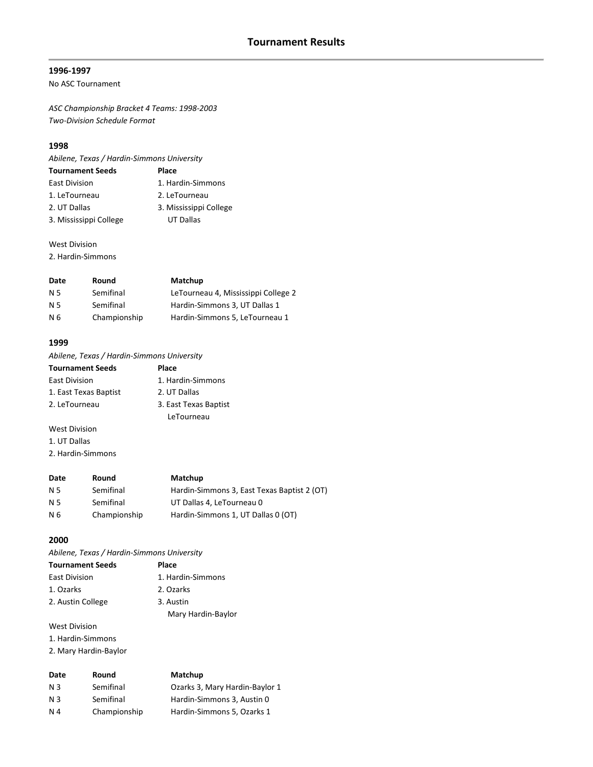# **1996-1997**

No ASC Tournament

*ASC Championship Bracket 4 Teams: 1998-2003 Two-Division Schedule Format*

# **1998**

*Abilene, Texas / Hardin-Simmons University*

| <b>Tournament Seeds</b> | Place                  |
|-------------------------|------------------------|
| East Division           | 1. Hardin-Simmons      |
| 1. LeTourneau           | 2. LeTourneau          |
| 2. UT Dallas            | 3. Mississippi College |
| 3. Mississippi College  | UT Dallas              |

West Division

2. Hardin-Simmons

| Date | Round        | Matchup                             |
|------|--------------|-------------------------------------|
| N 5  | Semifinal    | LeTourneau 4, Mississippi College 2 |
| N 5  | Semifinal    | Hardin-Simmons 3, UT Dallas 1       |
| N 6  | Championship | Hardin-Simmons 5, LeTourneau 1      |

#### **1999**

*Abilene, Texas / Hardin-Simmons University*

| <b>Tournament Seeds</b> | Place                 |
|-------------------------|-----------------------|
| <b>East Division</b>    | 1. Hardin-Simmons     |
| 1. East Texas Baptist   | 2. UT Dallas          |
| 2. LeTourneau           | 3. East Texas Baptist |
|                         | LeTourneau            |
|                         |                       |

West Division 1. UT Dallas

2. Hardin-Simmons

| Date      | Round        | Matchup                                     |
|-----------|--------------|---------------------------------------------|
| N 5       | Semifinal    | Hardin-Simmons 3, East Texas Baptist 2 (OT) |
| <b>N5</b> | Semifinal    | UT Dallas 4, LeTourneau 0                   |
| N 6       | Championship | Hardin-Simmons 1. UT Dallas 0 (OT)          |

#### **2000**

*Abilene, Texas / Hardin-Simmons University*

| <b>Tournament Seeds</b> | Place              |
|-------------------------|--------------------|
| <b>East Division</b>    | 1. Hardin-Simmons  |
| 1. Ozarks               | 2. Ozarks          |
| 2. Austin College       | 3. Austin          |
|                         | Mary Hardin-Baylor |

West Division

1. Hardin-Simmons

2. Mary Hardin-Baylor

| Date           | Round        | Matchup                        |
|----------------|--------------|--------------------------------|
| N 3            | Semifinal    | Ozarks 3, Mary Hardin-Baylor 1 |
| N 3            | Semifinal    | Hardin-Simmons 3, Austin 0     |
| N <sub>4</sub> | Championship | Hardin-Simmons 5, Ozarks 1     |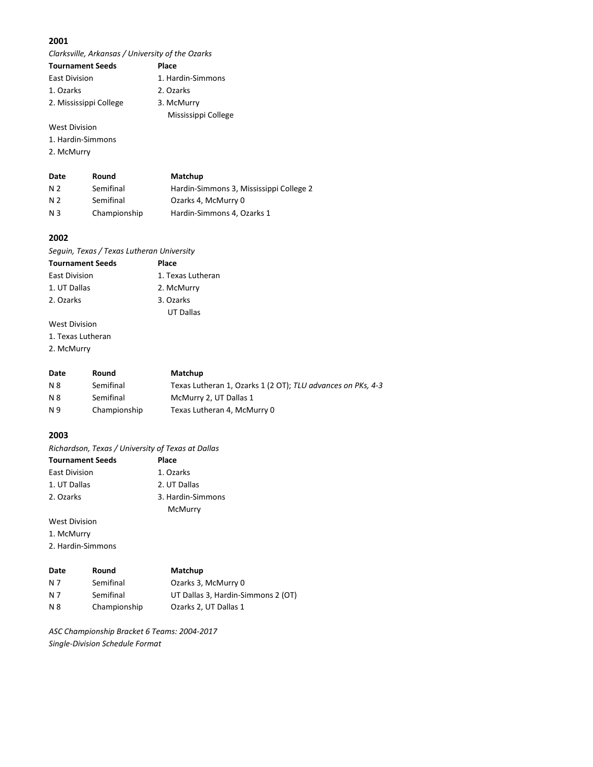*Clarksville, Arkansas / University of the Ozarks*

| <b>Tournament Seeds</b> | Place               |
|-------------------------|---------------------|
| <b>East Division</b>    | 1. Hardin-Simmons   |
| 1. Ozarks               | 2. Ozarks           |
| 2. Mississippi College  | 3. McMurry          |
|                         | Mississippi College |

# West Division

1. Hardin-Simmons

2. McMurry

| Date | Round        | Matchup                                 |
|------|--------------|-----------------------------------------|
| N 2  | Semifinal    | Hardin-Simmons 3, Mississippi College 2 |
| N 2  | Semifinal    | Ozarks 4, McMurry 0                     |
| N 3  | Championship | Hardin-Simmons 4, Ozarks 1              |

#### **2002**

*Seguin, Texas / Texas Lutheran University*

| <b>Tournament Seeds</b> | Place             |
|-------------------------|-------------------|
| <b>East Division</b>    | 1. Texas Lutheran |
| 1. UT Dallas            | 2. McMurry        |
| 2. Ozarks               | 3. Ozarks         |
|                         | UT Dallas         |

# West Division

1. Texas Lutheran

2. McMurry

| Date      | Round        | Matchup                                                     |
|-----------|--------------|-------------------------------------------------------------|
| N 8       | Semifinal    | Texas Lutheran 1, Ozarks 1 (2 OT); TLU advances on PKs, 4-3 |
| <b>N8</b> | Semifinal    | McMurry 2, UT Dallas 1                                      |
| N 9       | Championship | Texas Lutheran 4, McMurry 0                                 |

#### **2003**

*Richardson, Texas / University of Texas at Dallas*

| <b>Tournament Seeds</b> | Place             |
|-------------------------|-------------------|
| <b>East Division</b>    | 1. Ozarks         |
| 1. UT Dallas            | 2. UT Dallas      |
| 2. Ozarks               | 3. Hardin-Simmons |
|                         | McMurry           |

West Division

1. McMurry

2. Hardin-Simmons

| Date | Round        | Matchup                            |
|------|--------------|------------------------------------|
| N 7  | Semifinal    | Ozarks 3, McMurry 0                |
| N 7  | Semifinal    | UT Dallas 3, Hardin-Simmons 2 (OT) |
| N 8  | Championship | Ozarks 2, UT Dallas 1              |

*ASC Championship Bracket 6 Teams: 2004-2017 Single-Division Schedule Format*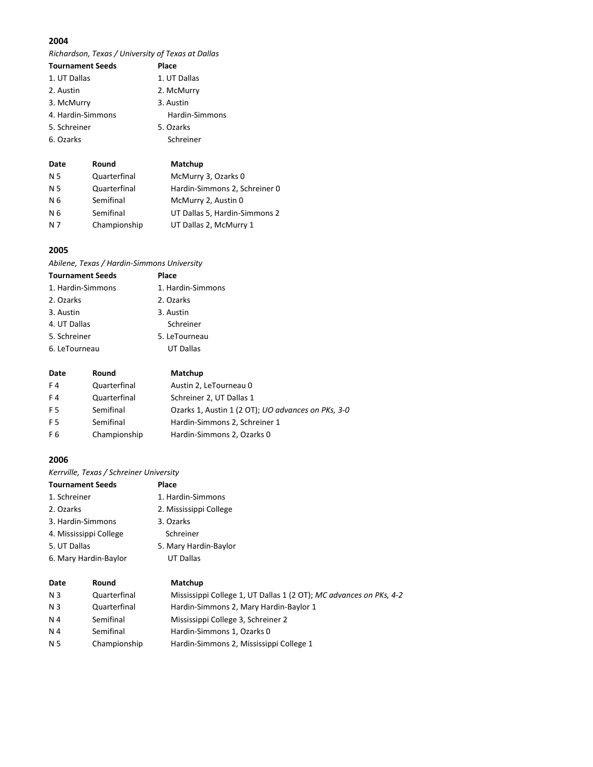*Richardson, Texas / University of Texas at Dallas*

| <b>Tournament Seeds</b> | Place          |
|-------------------------|----------------|
| 1. UT Dallas            | 1. UT Dallas   |
| 2. Austin               | 2. McMurry     |
| 3. McMurry              | 3. Austin      |
| 4. Hardin-Simmons       | Hardin-Simmons |
| 5. Schreiner            | 5. Ozarks      |
| 6. Ozarks               | Schreiner      |
|                         |                |

| Date           | Round        | Matchup                       |
|----------------|--------------|-------------------------------|
| N <sub>5</sub> | Quarterfinal | McMurry 3, Ozarks 0           |
| N 5            | Quarterfinal | Hardin-Simmons 2, Schreiner 0 |
| N 6            | Semifinal    | McMurry 2, Austin 0           |
| N 6            | Semifinal    | UT Dallas 5, Hardin-Simmons 2 |
| N 7            | Championship | UT Dallas 2, McMurry 1        |

# **2005**

*Abilene, Texas / Hardin-Simmons University*

| <b>Tournament Seeds</b> | Place             |
|-------------------------|-------------------|
| 1. Hardin-Simmons       | 1. Hardin-Simmons |
| 2. Ozarks               | 2. Ozarks         |
| 3. Austin               | 3. Austin         |
| 4. UT Dallas            | Schreiner         |
| 5. Schreiner            | 5. LeTourneau     |
| 6. LeTourneau           | <b>UT Dallas</b>  |

| Date           | Round        | Matchup                                                    |
|----------------|--------------|------------------------------------------------------------|
| F4             | Quarterfinal | Austin 2, LeTourneau 0                                     |
| F4             | Quarterfinal | Schreiner 2, UT Dallas 1                                   |
| F <sub>5</sub> | Semifinal    | Ozarks 1, Austin 1 (2 OT); <i>UO advances on PKs</i> , 3-0 |
| F <sub>5</sub> | Semifinal    | Hardin-Simmons 2, Schreiner 1                              |
| F6             | Championship | Hardin-Simmons 2, Ozarks 0                                 |

# **2006**

*Kerrville, Texas / Schreiner University*

|                | <b>Tournament Seeds</b> | Place                                                              |
|----------------|-------------------------|--------------------------------------------------------------------|
| 1. Schreiner   |                         | 1. Hardin-Simmons                                                  |
| 2. Ozarks      |                         | 2. Mississippi College                                             |
|                | 3. Hardin-Simmons       | 3. Ozarks                                                          |
|                | 4. Mississippi College  | Schreiner                                                          |
| 5. UT Dallas   |                         | 5. Mary Hardin-Baylor                                              |
|                | 6. Mary Hardin-Baylor   | UT Dallas                                                          |
| Date           | Round                   | Matchup                                                            |
| N 3            | Quarterfinal            | Mississippi College 1, UT Dallas 1 (2 OT); MC advances on PKs, 4-2 |
| N <sub>3</sub> | Quarterfinal            | Hardin-Simmons 2, Mary Hardin-Baylor 1                             |
|                |                         |                                                                    |

| נ וו | uuarteriillal | <b>TWISSISSING CONCRET, OT DANAS ITLE OT J, INC UNVANCES ON FINS, 4-4</b> |
|------|---------------|---------------------------------------------------------------------------|
| N 3  | Quarterfinal  | Hardin-Simmons 2, Mary Hardin-Baylor 1                                    |
| N 4  | Semifinal     | Mississippi College 3, Schreiner 2                                        |
| N 4  | Semifinal     | Hardin-Simmons 1. Ozarks 0                                                |
| N 5  | Championship  | Hardin-Simmons 2, Mississippi College 1                                   |
|      |               |                                                                           |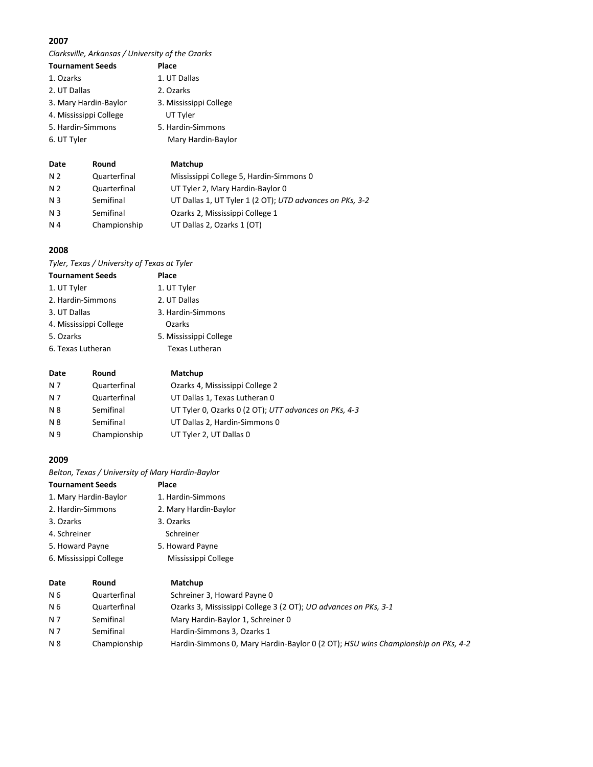*Clarksville, Arkansas / University of the Ozarks*

| <b>Tournament Seeds</b> | Place                  |
|-------------------------|------------------------|
| 1. Ozarks               | 1. UT Dallas           |
| 2. UT Dallas            | 2. Ozarks              |
| 3. Mary Hardin-Baylor   | 3. Mississippi College |
| 4. Mississippi College  | UT Tyler               |
| 5. Hardin-Simmons       | 5. Hardin-Simmons      |
| 6. UT Tyler             | Mary Hardin-Baylor     |
|                         |                        |

| Date           | Round        | Matchup                                                  |
|----------------|--------------|----------------------------------------------------------|
| N 2            | Quarterfinal | Mississippi College 5, Hardin-Simmons 0                  |
| N <sub>2</sub> | Quarterfinal | UT Tyler 2, Mary Hardin-Baylor 0                         |
| N <sub>3</sub> | Semifinal    | UT Dallas 1, UT Tyler 1 (2 OT); UTD advances on PKs, 3-2 |
| N <sub>3</sub> | Semifinal    | Ozarks 2, Mississippi College 1                          |
| N 4            | Championship | UT Dallas 2, Ozarks 1 (OT)                               |

# **2008**

*Tyler, Texas / University of Texas at Tyler*

| <b>Tournament Seeds</b> | Place                  |
|-------------------------|------------------------|
| 1. UT Tyler             | 1. UT Tyler            |
| 2. Hardin-Simmons       | 2. UT Dallas           |
| 3. UT Dallas            | 3. Hardin-Simmons      |
| 4. Mississippi College  | Ozarks                 |
| 5. Ozarks               | 5. Mississippi College |
| 6. Texas Lutheran       | <b>Texas Lutheran</b>  |

| Date | Round        | Matchup                                               |
|------|--------------|-------------------------------------------------------|
| N 7  | Quarterfinal | Ozarks 4, Mississippi College 2                       |
| N 7  | Quarterfinal | UT Dallas 1, Texas Lutheran 0                         |
| N 8  | Semifinal    | UT Tyler 0, Ozarks 0 (2 OT); UTT advances on PKs, 4-3 |
| N 8  | Semifinal    | UT Dallas 2, Hardin-Simmons 0                         |
| N 9  | Championship | UT Tyler 2, UT Dallas 0                               |
|      |              |                                                       |

# **2009**

*Belton, Texas / University of Mary Hardin-Baylor*

| <b>Tournament Seeds</b> |                       | <b>Place</b>                                                            |  |
|-------------------------|-----------------------|-------------------------------------------------------------------------|--|
|                         | 1. Mary Hardin-Baylor | 1. Hardin-Simmons                                                       |  |
| 2. Hardin-Simmons       |                       | 2. Mary Hardin-Baylor                                                   |  |
| 3. Ozarks               |                       | 3. Ozarks                                                               |  |
| 4. Schreiner            |                       | Schreiner                                                               |  |
| 5. Howard Payne         |                       | 5. Howard Payne                                                         |  |
| 6. Mississippi College  |                       | Mississippi College                                                     |  |
| Date                    | Round                 | Matchup                                                                 |  |
| N 6                     | Quarterfinal          | Schreiner 3, Howard Payne 0                                             |  |
| N 6                     | Quarterfinal          | Ozarks 3, Mississippi College 3 (2 OT); <i>UO advances on PKs</i> , 3-1 |  |

| N 7 | Semifinal    | Mary Hardin-Baylor 1, Schreiner 0                                                |
|-----|--------------|----------------------------------------------------------------------------------|
| N 7 | Semifinal    | Hardin-Simmons 3. Ozarks 1                                                       |
| N 8 | Championship | Hardin-Simmons 0, Mary Hardin-Baylor 0 (2 OT); HSU wins Championship on PKs, 4-2 |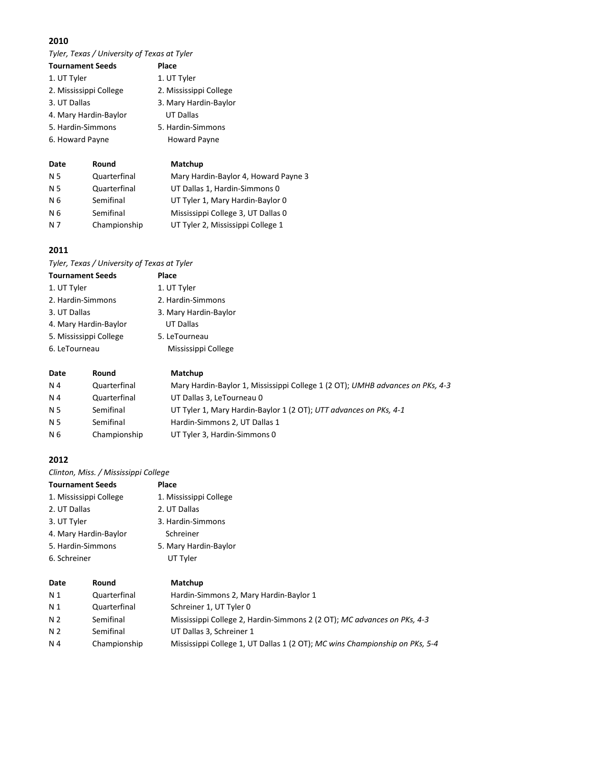*Tyler, Texas / University of Texas at Tyler*

| <b>Tournament Seeds</b> | Place                  |  |
|-------------------------|------------------------|--|
| 1. UT Tyler             | 1. UT Tyler            |  |
| 2. Mississippi College  | 2. Mississippi College |  |
| 3. UT Dallas            | 3. Mary Hardin-Baylor  |  |
| 4. Mary Hardin-Baylor   | <b>UT Dallas</b>       |  |
| 5. Hardin-Simmons       | 5. Hardin-Simmons      |  |
| 6. Howard Payne         | <b>Howard Payne</b>    |  |
|                         |                        |  |
| <b>Round</b><br>Date    | Matchun                |  |

| wale | nuullu       | <b>IVIALLIUD</b>                     |
|------|--------------|--------------------------------------|
| N 5  | Quarterfinal | Mary Hardin-Baylor 4, Howard Payne 3 |
| N 5  | Quarterfinal | UT Dallas 1, Hardin-Simmons 0        |
| N 6  | Semifinal    | UT Tyler 1, Mary Hardin-Baylor 0     |
| N 6  | Semifinal    | Mississippi College 3, UT Dallas 0   |
| N 7  | Championship | UT Tyler 2, Mississippi College 1    |

# **2011**

*Tyler, Texas / University of Texas at Tyler*

| <b>Tournament Seeds</b> |       | Place                 |  |
|-------------------------|-------|-----------------------|--|
| 1. UT Tyler             |       | 1. UT Tyler           |  |
| 2. Hardin-Simmons       |       | 2. Hardin-Simmons     |  |
| 3. UT Dallas            |       | 3. Mary Hardin-Baylor |  |
| 4. Mary Hardin-Baylor   |       | UT Dallas             |  |
| 5. Mississippi College  |       | 5. LeTourneau         |  |
| 6. LeTourneau           |       | Mississippi College   |  |
| Date                    | Round | Matchup               |  |

| N <sub>4</sub> | Quarterfinal | Mary Hardin-Baylor 1, Mississippi College 1 (2 OT); UMHB advances on PKs, 4-3 |
|----------------|--------------|-------------------------------------------------------------------------------|
| N <sub>4</sub> | Quarterfinal | UT Dallas 3, LeTourneau 0                                                     |
| N <sub>5</sub> | Semifinal    | UT Tyler 1, Mary Hardin-Baylor 1 (2 OT); UTT advances on PKs, 4-1             |
| N <sub>5</sub> | Semifinal    | Hardin-Simmons 2, UT Dallas 1                                                 |
| N 6            | Championship | UT Tyler 3, Hardin-Simmons 0                                                  |
|                |              |                                                                               |

# **2012**

*Clinton, Miss. / Mississippi College*

|                   | <b>Tournament Seeds</b> | Place                           |
|-------------------|-------------------------|---------------------------------|
|                   | 1. Mississippi College  | 1. Mississippi College          |
| 2. UT Dallas      |                         | 2. UT Dallas                    |
| 3. UT Tyler       |                         | 3. Hardin-Simmons               |
|                   | 4. Mary Hardin-Baylor   | Schreiner                       |
| 5. Hardin-Simmons |                         | 5. Mary Hardin-Baylor           |
| 6. Schreiner      |                         | UT Tyler                        |
| Date              | Round                   | Matchup                         |
| .                 | .                       | $\cdots$ $\cdots$ $\cdots$<br>. |

| N 1            | Quarterfinal | Hardin-Simmons 2, Mary Hardin-Baylor 1                                      |
|----------------|--------------|-----------------------------------------------------------------------------|
| N 1            | Quarterfinal | Schreiner 1, UT Tyler 0                                                     |
| N <sub>2</sub> | Semifinal    | Mississippi College 2, Hardin-Simmons 2 (2 OT); MC advances on PKs, 4-3     |
| N <sub>2</sub> | Semifinal    | UT Dallas 3. Schreiner 1                                                    |
| N 4            | Championship | Mississippi College 1, UT Dallas 1 (2 OT); MC wins Championship on PKs, 5-4 |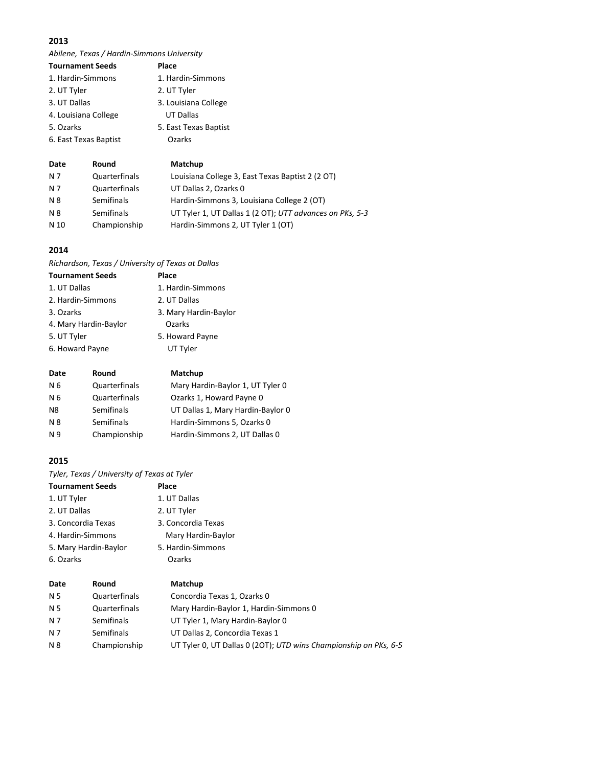*Abilene, Texas / Hardin-Simmons University*

| <b>Tournament Seeds</b> | Place                 |
|-------------------------|-----------------------|
| 1. Hardin-Simmons       | 1. Hardin-Simmons     |
| 2. UT Tyler             | 2. UT Tyler           |
| 3. UT Dallas            | 3. Louisiana College  |
| 4. Louisiana College    | UT Dallas             |
| 5. Ozarks               | 5. East Texas Baptist |
| 6. East Texas Baptist   | Ozarks                |
|                         |                       |

| Date | Round         | Matchup                                                  |
|------|---------------|----------------------------------------------------------|
| N 7  | Quarterfinals | Louisiana College 3, East Texas Baptist 2 (2 OT)         |
| N 7  | Quarterfinals | UT Dallas 2, Ozarks 0                                    |
| N 8  | Semifinals    | Hardin-Simmons 3, Louisiana College 2 (OT)               |
| N 8  | Semifinals    | UT Tyler 1, UT Dallas 1 (2 OT); UTT advances on PKs, 5-3 |
| N 10 | Championship  | Hardin-Simmons 2, UT Tyler 1 (OT)                        |

# **2014**

*Richardson, Texas / University of Texas at Dallas*

| <b>Tournament Seeds</b> | Place                 |
|-------------------------|-----------------------|
| 1. UT Dallas            | 1. Hardin-Simmons     |
| 2. Hardin-Simmons       | 2. UT Dallas          |
| 3. Ozarks               | 3. Mary Hardin-Baylor |
| 4. Mary Hardin-Baylor   | Ozarks                |
| 5. UT Tyler             | 5. Howard Payne       |
| 6. Howard Payne         | UT Tyler              |

| Date | Round         | Matchup                           |
|------|---------------|-----------------------------------|
| N 6  | Quarterfinals | Mary Hardin-Baylor 1, UT Tyler 0  |
| N 6  | Quarterfinals | Ozarks 1, Howard Payne 0          |
| N8   | Semifinals    | UT Dallas 1, Mary Hardin-Baylor 0 |
| N 8  | Semifinals    | Hardin-Simmons 5, Ozarks 0        |
| N 9  | Championship  | Hardin-Simmons 2, UT Dallas 0     |

# **2015**

*Tyler, Texas / University of Texas at Tyler*

| <b>Tournament Seeds</b> |               | Place                       |  |
|-------------------------|---------------|-----------------------------|--|
| 1. UT Tyler             |               | 1. UT Dallas                |  |
| 2. UT Dallas            |               | 2. UT Tyler                 |  |
| 3. Concordia Texas      |               | 3. Concordia Texas          |  |
| 4. Hardin-Simmons       |               | Mary Hardin-Baylor          |  |
| 5. Mary Hardin-Baylor   |               | 5. Hardin-Simmons           |  |
| 6. Ozarks               |               | Ozarks                      |  |
| Date                    | Round         | Matchup                     |  |
| N 5                     | Quarterfinals | Concordia Texas 1, Ozarks 0 |  |

| N 5 | Quarterfinals | Concordia Texas 1, Ozarks 0                                      |
|-----|---------------|------------------------------------------------------------------|
| N 5 | Quarterfinals | Mary Hardin-Baylor 1, Hardin-Simmons 0                           |
| N 7 | Semifinals    | UT Tyler 1, Mary Hardin-Baylor 0                                 |
| N 7 | Semifinals    | UT Dallas 2, Concordia Texas 1                                   |
| N 8 | Championship  | UT Tyler 0, UT Dallas 0 (20T); UTD wins Championship on PKs, 6-5 |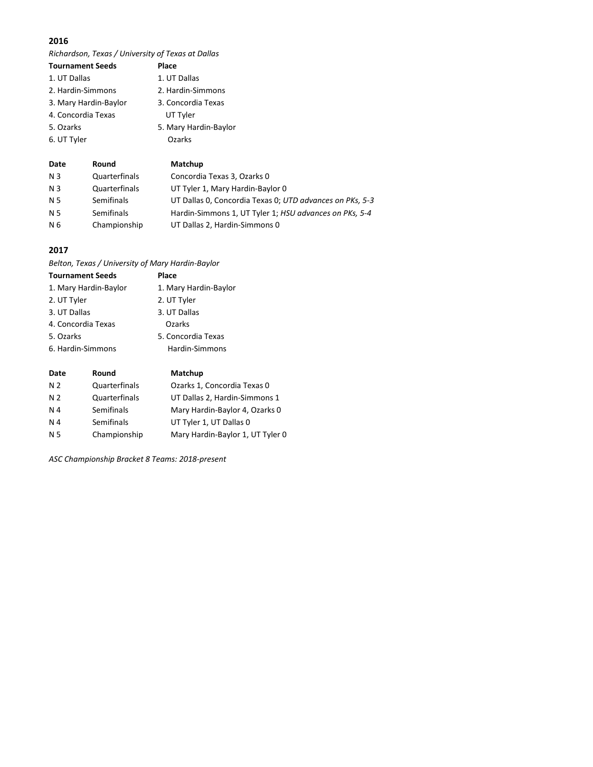*Richardson, Texas / University of Texas at Dallas*

| <b>Tournament Seeds</b> |       | Place                 |
|-------------------------|-------|-----------------------|
| 1. UT Dallas            |       | 1. UT Dallas          |
| 2. Hardin-Simmons       |       | 2. Hardin-Simmons     |
| 3. Mary Hardin-Baylor   |       | 3. Concordia Texas    |
| 4. Concordia Texas      |       | UT Tyler              |
| 5. Ozarks               |       | 5. Mary Hardin-Baylor |
| 6. UT Tyler             |       | Ozarks                |
|                         |       |                       |
| Date                    | Round | Matchup               |

| N <sub>3</sub> | Quarterfinals        | Concordia Texas 3, Ozarks 0                              |
|----------------|----------------------|----------------------------------------------------------|
| N <sub>3</sub> | <b>Quarterfinals</b> | UT Tyler 1, Mary Hardin-Baylor 0                         |
| N 5            | Semifinals           | UT Dallas 0, Concordia Texas 0; UTD advances on PKs, 5-3 |
| N 5            | Semifinals           | Hardin-Simmons 1, UT Tyler 1; HSU advances on PKs, 5-4   |
| N 6            | Championship         | UT Dallas 2, Hardin-Simmons 0                            |

# **2017**

*Belton, Texas / University of Mary Hardin-Baylor*

| <b>Tournament Seeds</b> | Place                 |
|-------------------------|-----------------------|
| 1. Mary Hardin-Baylor   | 1. Mary Hardin-Baylor |
| 2. UT Tyler             | 2. UT Tyler           |
| 3. UT Dallas            | 3. UT Dallas          |
| 4. Concordia Texas      | Ozarks                |
| 5. Ozarks               | 5. Concordia Texas    |
| 6. Hardin-Simmons       | Hardin-Simmons        |
|                         |                       |

| Date           | Round         | Matchup                          |
|----------------|---------------|----------------------------------|
| N <sub>2</sub> | Quarterfinals | Ozarks 1, Concordia Texas 0      |
| N <sub>2</sub> | Quarterfinals | UT Dallas 2, Hardin-Simmons 1    |
| N <sub>4</sub> | Semifinals    | Mary Hardin-Baylor 4, Ozarks 0   |
| N <sub>4</sub> | Semifinals    | UT Tyler 1, UT Dallas 0          |
| N 5            | Championship  | Mary Hardin-Baylor 1, UT Tyler 0 |
|                |               |                                  |

*ASC Championship Bracket 8 Teams: 2018-present*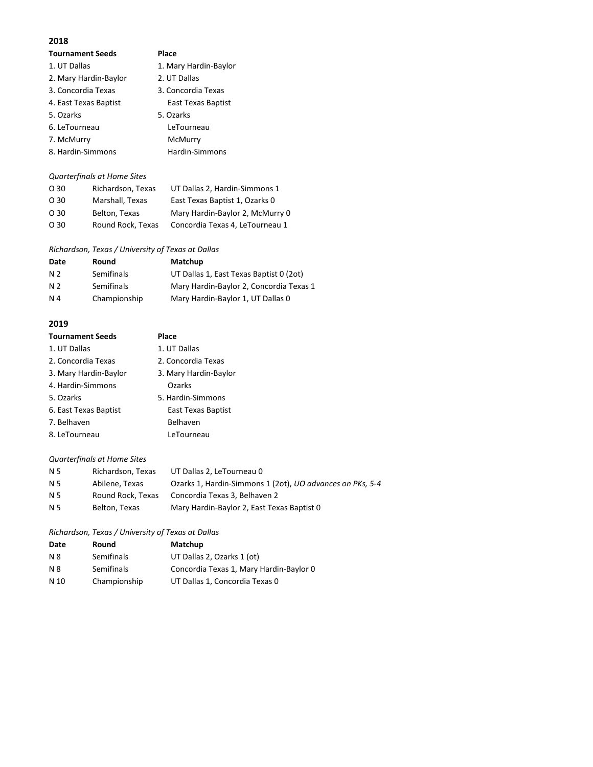| <b>Tournament Seeds</b> | Place                 |
|-------------------------|-----------------------|
| 1. UT Dallas            | 1. Mary Hardin-Baylor |
| 2. Mary Hardin-Baylor   | 2. UT Dallas          |
| 3. Concordia Texas      | 3. Concordia Texas    |
| 4. East Texas Baptist   | East Texas Baptist    |
| 5. Ozarks               | 5. Ozarks             |
| 6. LeTourneau           | LeTourneau            |
| 7. McMurry              | McMurry               |
| 8. Hardin-Simmons       | Hardin-Simmons        |
|                         |                       |

#### *Quarterfinals at Home Sites*

| O <sub>30</sub> | Richardson, Texas | UT Dallas 2, Hardin-Simmons 1   |
|-----------------|-------------------|---------------------------------|
| O <sub>30</sub> | Marshall, Texas   | East Texas Baptist 1, Ozarks 0  |
| O <sub>30</sub> | Belton, Texas     | Mary Hardin-Baylor 2, McMurry 0 |
| O <sub>30</sub> | Round Rock, Texas | Concordia Texas 4, LeTourneau 1 |

#### *Richardson, Texas / University of Texas at Dallas*

| Date | Round        | Matchup                                 |
|------|--------------|-----------------------------------------|
| N 2  | Semifinals   | UT Dallas 1, East Texas Baptist 0 (2ot) |
| N 2  | Semifinals   | Mary Hardin-Baylor 2, Concordia Texas 1 |
| N 4  | Championship | Mary Hardin-Baylor 1, UT Dallas 0       |

# **2019**

| <b>Tournament Seeds</b> | Place                 |
|-------------------------|-----------------------|
| 1. UT Dallas            | 1. UT Dallas          |
| 2. Concordia Texas      | 2. Concordia Texas    |
| 3. Mary Hardin-Baylor   | 3. Mary Hardin-Baylor |
| 4. Hardin-Simmons       | <b>Ozarks</b>         |
| 5. Ozarks               | 5. Hardin-Simmons     |
| 6. East Texas Baptist   | East Texas Baptist    |
| 7. Belhaven             | Belhaven              |
| 8. LeTourneau           | LeTourneau            |

# *Quarterfinals at Home Sites*

| N 5 | Richardson, Texas | UT Dallas 2, LeTourneau 0                                 |
|-----|-------------------|-----------------------------------------------------------|
| N 5 | Abilene, Texas    | Ozarks 1, Hardin-Simmons 1 (2ot), UO advances on PKs, 5-4 |
| N 5 | Round Rock, Texas | Concordia Texas 3, Belhaven 2                             |
| N 5 | Belton. Texas     | Mary Hardin-Baylor 2, East Texas Baptist 0                |

#### *Richardson, Texas / University of Texas at Dallas*

| Date | Round        | Matchup                                 |
|------|--------------|-----------------------------------------|
| N 8  | Semifinals   | UT Dallas 2, Ozarks 1 (ot)              |
| N 8  | Semifinals   | Concordia Texas 1, Mary Hardin-Baylor 0 |
| N 10 | Championship | UT Dallas 1, Concordia Texas 0          |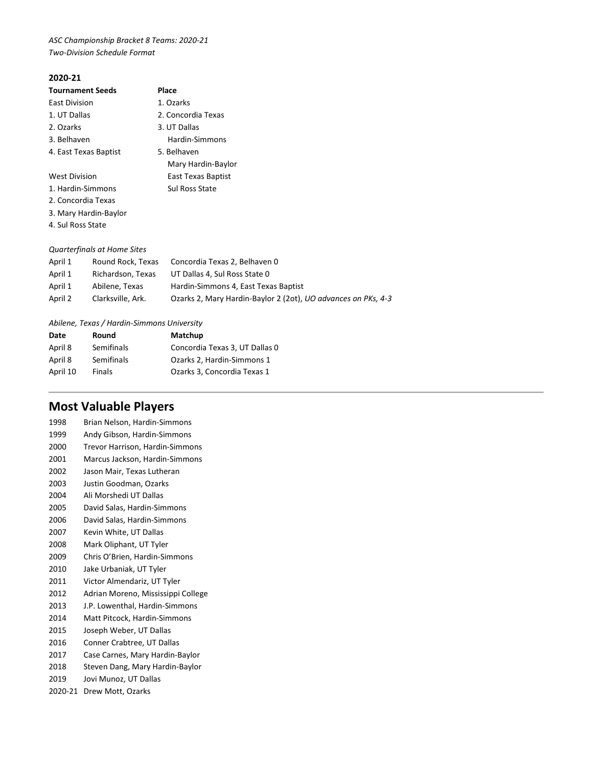*ASC Championship Bracket 8 Teams: 2020-21 Two-Division Schedule Format*

# **2020-21**

| <b>Tournament Seeds</b> | Place              |
|-------------------------|--------------------|
| <b>East Division</b>    | 1. Ozarks          |
| 1. UT Dallas            | 2. Concordia Texas |
| 2. Ozarks               | 3. UT Dallas       |
| 3. Belhaven             | Hardin-Simmons     |
| 4. East Texas Baptist   | 5. Belhaven        |
|                         | Mary Hardin-Baylor |
| <b>West Division</b>    | East Texas Baptist |
| 1. Hardin-Simmons       | Sul Ross State     |
| 2. Concordia Texas      |                    |

- 3. Mary Hardin-Baylor
- 4. Sul Ross State

# *Quarterfinals at Home Sites*

| April 1 | Round Rock, Texas | Concordia Texas 2, Belhaven 0                                        |
|---------|-------------------|----------------------------------------------------------------------|
| April 1 | Richardson, Texas | UT Dallas 4, Sul Ross State 0                                        |
| April 1 | Abilene. Texas    | Hardin-Simmons 4, East Texas Baptist                                 |
| April 2 | Clarksville, Ark. | Ozarks 2, Mary Hardin-Baylor 2 (2ot), <i>UO advances on PKs, 4-3</i> |

#### *Abilene, Texas / Hardin-Simmons University*

| Date     | Round      | Matchup                        |
|----------|------------|--------------------------------|
| April 8  | Semifinals | Concordia Texas 3, UT Dallas 0 |
| April 8  | Semifinals | Ozarks 2, Hardin-Simmons 1     |
| April 10 | Finals     | Ozarks 3, Concordia Texas 1    |

# **Most Valuable Players**

| 1998    | Brian Nelson, Hardin-Simmons       |
|---------|------------------------------------|
| 1999    | Andy Gibson, Hardin-Simmons        |
| 2000    | Trevor Harrison, Hardin-Simmons    |
| 2001    | Marcus Jackson, Hardin-Simmons     |
| 2002    | Jason Mair, Texas Lutheran         |
| 2003    | Justin Goodman, Ozarks             |
| 2004    | Ali Morshedi UT Dallas             |
| 2005    | David Salas, Hardin-Simmons        |
| 2006    | David Salas, Hardin-Simmons        |
| 2007    | Kevin White, UT Dallas             |
| 2008    | Mark Oliphant, UT Tyler            |
| 2009    | Chris O'Brien, Hardin-Simmons      |
| 2010    | Jake Urbaniak, UT Tyler            |
| 2011    | Victor Almendariz, UT Tyler        |
| 2012    | Adrian Moreno, Mississippi College |
| 2013    | J.P. Lowenthal, Hardin-Simmons     |
| 2014    | Matt Pitcock, Hardin-Simmons       |
| 2015    | Joseph Weber, UT Dallas            |
| 2016    | Conner Crabtree, UT Dallas         |
| 2017    | Case Carnes, Mary Hardin-Baylor    |
| 2018    | Steven Dang, Mary Hardin-Baylor    |
| 2019    | Jovi Munoz, UT Dallas              |
| 2020-21 | Drew Mott, Ozarks                  |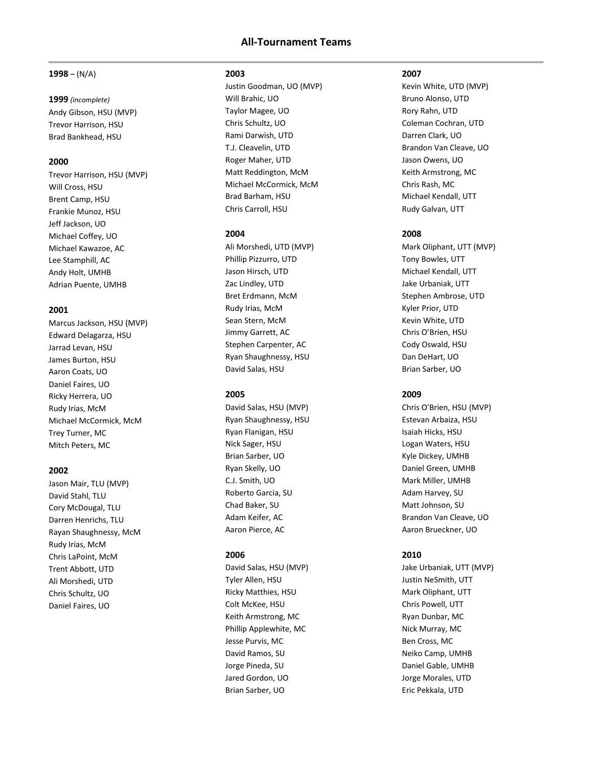# **All-Tournament Teams**

#### **1998** – (N/A)

#### **1999** *(incomplete)* Andy Gibson, HSU (MVP)

Trevor Harrison, HSU Brad Bankhead, HSU

#### **2000**

Trevor Harrison, HSU (MVP) Will Cross, HSU Brent Camp, HSU Frankie Munoz, HSU Jeff Jackson, UO Michael Coffey, UO Michael Kawazoe, AC Lee Stamphill, AC Andy Holt, UMHB Adrian Puente, UMHB

#### **2001**

Marcus Jackson, HSU (MVP) Edward Delagarza, HSU Jarrad Levan, HSU James Burton, HSU Aaron Coats, UO Daniel Faires, UO Ricky Herrera, UO Rudy Irias, McM Michael McCormick, McM Trey Turner, MC Mitch Peters, MC

#### **2002**

Jason Mair, TLU (MVP) David Stahl, TLU Cory McDougal, TLU Darren Henrichs, TLU Rayan Shaughnessy, McM Rudy Irias, McM Chris LaPoint, McM Trent Abbott, UTD Ali Morshedi, UTD Chris Schultz, UO Daniel Faires, UO

#### **2003**

Justin Goodman, UO (MVP) Will Brahic, UO Taylor Magee, UO Chris Schultz, UO Rami Darwish, UTD T.J. Cleavelin, UTD Roger Maher, UTD Matt Reddington, McM Michael McCormick, McM Brad Barham, HSU Chris Carroll, HSU

#### **2004**

Ali Morshedi, UTD (MVP) Phillip Pizzurro, UTD Jason Hirsch, UTD Zac Lindley, UTD Bret Erdmann, McM Rudy Irias, McM Sean Stern, McM Jimmy Garrett, AC Stephen Carpenter, AC Ryan Shaughnessy, HSU David Salas, HSU

# **2005**

David Salas, HSU (MVP) Ryan Shaughnessy, HSU Ryan Flanigan, HSU Nick Sager, HSU Brian Sarber, UO Ryan Skelly, UO C.J. Smith, UO Roberto Garcia, SU Chad Baker, SU Adam Keifer, AC Aaron Pierce, AC

#### **2006**

David Salas, HSU (MVP) Tyler Allen, HSU Ricky Matthies, HSU Colt McKee, HSU Keith Armstrong, MC Phillip Applewhite, MC Jesse Purvis, MC David Ramos, SU Jorge Pineda, SU Jared Gordon, UO Brian Sarber, UO

#### **2007**

Kevin White, UTD (MVP) Bruno Alonso, UTD Rory Rahn, UTD Coleman Cochran, UTD Darren Clark, UO Brandon Van Cleave, UO Jason Owens, UO Keith Armstrong, MC Chris Rash, MC Michael Kendall, UTT Rudy Galvan, UTT

### **2008**

Mark Oliphant, UTT (MVP) Tony Bowles, UTT Michael Kendall, UTT Jake Urbaniak, UTT Stephen Ambrose, UTD Kyler Prior, UTD Kevin White, UTD Chris O'Brien, HSU Cody Oswald, HSU Dan DeHart, UO Brian Sarber, UO

# **2009**

Chris O'Brien, HSU (MVP) Estevan Arbaiza, HSU Isaiah Hicks, HSU Logan Waters, HSU Kyle Dickey, UMHB Daniel Green, UMHB Mark Miller, UMHB Adam Harvey, SU Matt Johnson, SU Brandon Van Cleave, UO Aaron Brueckner, UO

#### **2010**

Jake Urbaniak, UTT (MVP) Justin NeSmith, UTT Mark Oliphant, UTT Chris Powell, UTT Ryan Dunbar, MC Nick Murray, MC Ben Cross, MC Neiko Camp, UMHB Daniel Gable, UMHB Jorge Morales, UTD Eric Pekkala, UTD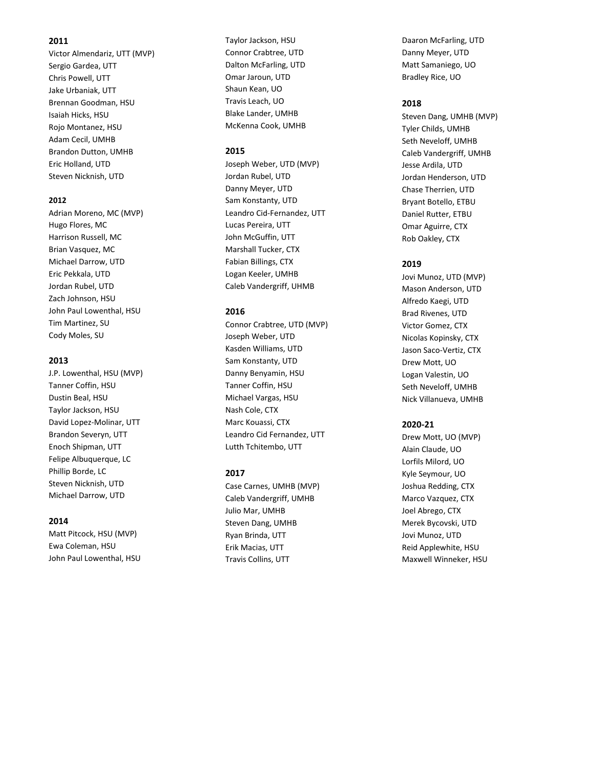Victor Almendariz, UT T (MVP) Sergio Gardea, UTT Chris Powell, UTT Jake Urbaniak, UTT Brennan Goodman, HSU Isaiah Hicks, HSU Rojo Montanez, HSU Adam Cecil, UMHB Brandon Dutton, UMHB Eric Holland, UTD Steven Nicknish, UTD

#### **2012**

Adrian Moreno, MC (MVP) Hugo Flores, MC Harrison Russell, MC Brian Vasquez, MC Michael Darrow, UTD Eric Pekkala, UTD Jordan Rubel, UTD Zach Johnson, HSU John Paul Lowenthal, HSU Tim Martinez, SU Cody Moles, SU

#### **2013**

J.P. Lowenthal, HSU (MVP) Tanner Coffin, HSU Dustin Beal, HSU Taylor Jackson, HSU David Lopez -Molinar, UTT Brandon Severyn, UTT Enoch Shipman, UTT Felipe Albuquerque, LC Phillip Borde, LC Steven Nicknish, UTD Michael Darrow, UTD

#### **2014**

Matt Pitcock, HSU (MVP) Ewa Coleman, HSU John Paul Lowenthal, HSU Taylor Jackson, HSU Connor Crabtree, UTD Dalton McFarling, UTD Omar Jaroun, UTD Shaun Kean, UO Travis Leach, UO Blake Lander, UMHB McKenna Cook, UMHB

# **2015**

Joseph Weber, UTD (MVP) Jordan Rubel, UTD Danny Meyer, UTD Sam Konstanty, UTD Leandro Cid -Fernandez, UTT Lucas Pereira, UTT John McGuffin, UTT Marshall Tucker, CTX Fabian Billings, CTX Logan Keeler, UMHB Caleb Vandergriff, UHMB

#### **2016**

Connor Crabtree, UT D (MVP) Joseph Weber, UT D Kasden Williams, UT D Sam Konstanty, UT D Danny Benyamin, HSU Tanner Coffin, HSU Michael Vargas, HSU Nash Cole, CTX Marc Kouassi, CTX Leandro Cid Fernandez, UT T Lutth Tchitembo, UT T

#### **201 7**

Case Carnes, UMHB (MVP) Caleb Vandergriff, UMHB Julio Mar, UMHB Steven Dang, UMHB Ryan Brinda, UTT Erik Macias, UTT Travis Collins, UTT

Daaron McFarling, UTD Danny Meyer, UTD Matt Samaniego, UO Bradley Rice, UO

#### **201 8**

Steven Dang, UMHB (MVP) Tyler Childs, UMHB Seth Neveloff, UMHB Caleb Vandergriff, UMHB Jesse Ardila, UTD Jordan Henderson, UTD Chase Therrien, UTD Bryant Botello, ETBU Daniel Rutter, ETBU Omar Aguirre, CTX Rob Oakley, CTX

#### **201 9**

Jovi Munoz, UTD (MVP) Mason Anderson, UTD Alfredo Kaegi, UTD Brad Rivenes, UTD Victor Gomez, CTX Nicolas Kopinsky, CTX Jason Saco -Vertiz, CTX Drew Mott, UO Logan Valestin, UO Seth Neveloff, UMHB Nick Villanueva, UMHB

#### **2020 -21**

Drew Mott, UO (MVP) Alain Claude, UO Lorfils Milord, UO Kyle Seymour, UO Joshua Redding, CTX Marco Vazquez, CTX Joel Abrego, CTX Merek Byco vski, UTD Jovi Munoz, UTD Reid Applewhite, HSU Maxwell Winneker, HSU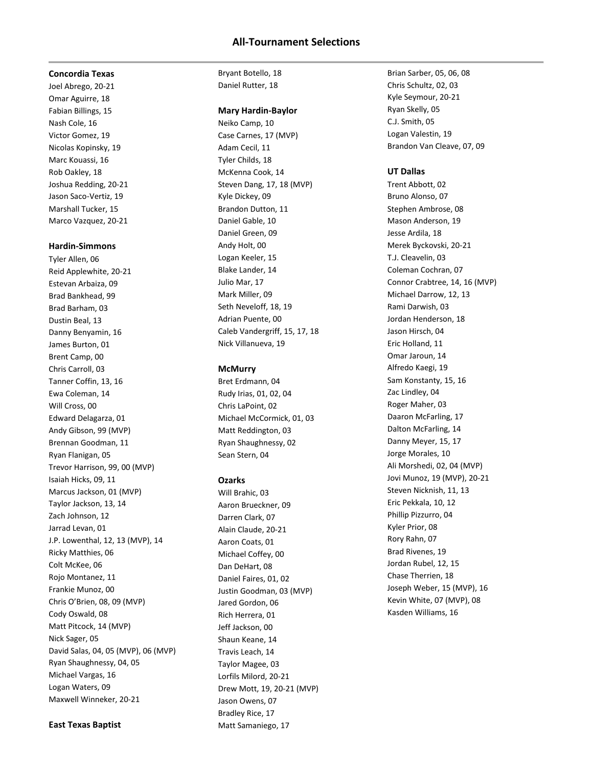# **All-Tournament Selections**

#### **Concordia Texas**

Joel Abrego, 20-21 Omar Aguirre, 18 Fabian Billings, 15 Nash Cole, 16 Victor Gomez, 19 Nicolas Kopinsky, 19 Marc Kouassi, 16 Rob Oakley, 18 Joshua Redding, 20-21 Jason Saco-Vertiz, 19 Marshall Tucker, 15 Marco Vazquez, 20-21

#### **Hardin-Simmons**

Tyler Allen, 06 Reid Applewhite, 20-21 Estevan Arbaiza, 09 Brad Bankhead, 99 Brad Barham, 03 Dustin Beal, 13 Danny Benyamin, 16 James Burton, 01 Brent Camp, 00 Chris Carroll, 03 Tanner Coffin, 13, 16 Ewa Coleman, 14 Will Cross, 00 Edward Delagarza, 01 Andy Gibson, 99 (MVP) Brennan Goodman, 11 Ryan Flanigan, 05 Trevor Harrison, 99, 00 (MVP) Isaiah Hicks, 09, 11 Marcus Jackson, 01 (MVP) Taylor Jackson, 13, 14 Zach Johnson, 12 Jarrad Levan, 01 J.P. Lowenthal, 12, 13 (MVP), 14 Ricky Matthies, 06 Colt McKee, 06 Rojo Montanez, 11 Frankie Munoz, 00 Chris O'Brien, 08, 09 (MVP) Cody Oswald, 08 Matt Pitcock, 14 (MVP) Nick Sager, 05 David Salas, 04, 05 (MVP), 06 (MVP) Ryan Shaughnessy, 04, 05 Michael Vargas, 16 Logan Waters, 09 Maxwell Winneker, 20-21

#### **East Texas Baptist**

Bryant Botello, 18 Daniel Rutter, 18

#### **Mary Hardin-Baylor**

Neiko Camp, 10 Case Carnes, 17 (MVP) Adam Cecil, 11 Tyler Childs, 18 McKenna Cook, 14 Steven Dang, 17, 18 (MVP) Kyle Dickey, 09 Brandon Dutton, 11 Daniel Gable, 10 Daniel Green, 09 Andy Holt, 00 Logan Keeler, 15 Blake Lander, 14 Julio Mar, 17 Mark Miller, 09 Seth Neveloff, 18, 19 Adrian Puente, 00 Caleb Vandergriff, 15, 17, 18 Nick Villanueva, 19

#### **McMurry**

Bret Erdmann, 04 Rudy Irias, 01, 02, 04 Chris LaPoint, 02 Michael McCormick, 01, 03 Matt Reddington, 03 Ryan Shaughnessy, 02 Sean Stern, 04

#### **Ozarks**

Will Brahic, 03 Aaron Brueckner, 09 Darren Clark, 07 Alain Claude, 20-21 Aaron Coats, 01 Michael Coffey, 00 Dan DeHart, 08 Daniel Faires, 01, 02 Justin Goodman, 03 (MVP) Jared Gordon, 06 Rich Herrera, 01 Jeff Jackson, 00 Shaun Keane, 14 Travis Leach, 14 Taylor Magee, 03 Lorfils Milord, 20-21 Drew Mott, 19, 20-21 (MVP) Jason Owens, 07 Bradley Rice, 17 Matt Samaniego, 17

Brian Sarber, 05, 06, 08 Chris Schultz, 02, 03 Kyle Seymour, 20-21 Ryan Skelly, 05 C.J. Smith, 05 Logan Valestin, 19 Brandon Van Cleave, 07, 09

#### **UT Dallas**

Trent Abbott, 02 Bruno Alonso, 07 Stephen Ambrose, 08 Mason Anderson, 19 Jesse Ardila, 18 Merek Byckovski, 20-21 T.J. Cleavelin, 03 Coleman Cochran, 07 Connor Crabtree, 14, 16 (MVP) Michael Darrow, 12, 13 Rami Darwish, 03 Jordan Henderson, 18 Jason Hirsch, 04 Eric Holland, 11 Omar Jaroun, 14 Alfredo Kaegi, 19 Sam Konstanty, 15, 16 Zac Lindley, 04 Roger Maher, 03 Daaron McFarling, 17 Dalton McFarling, 14 Danny Meyer, 15, 17 Jorge Morales, 10 Ali Morshedi, 02, 04 (MVP) Jovi Munoz, 19 (MVP), 20-21 Steven Nicknish, 11, 13 Eric Pekkala, 10, 12 Phillip Pizzurro, 04 Kyler Prior, 08 Rory Rahn, 07 Brad Rivenes, 19 Jordan Rubel, 12, 15 Chase Therrien, 18 Joseph Weber, 15 (MVP), 16 Kevin White, 07 (MVP), 08 Kasden Williams, 16